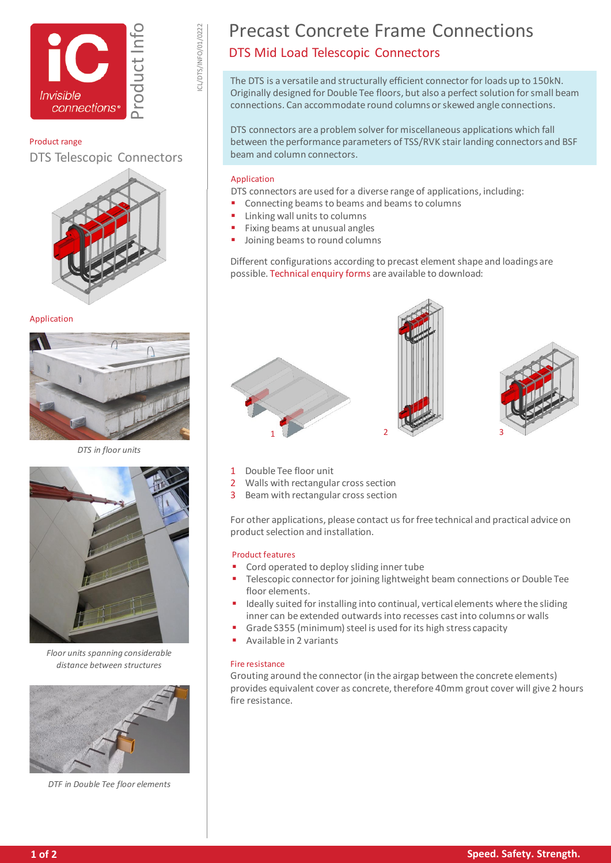



ICL/DTS/INFO/01/0222

## Product range

DTS Telescopic Connectors



### Application



*DTS in floor units*



*Floor units spanning considerable distance between structures*



*DTF in Double Tee floor elements*

# Precast Concrete Frame Connections DTS Mid Load Telescopic Connectors

The DTS is a versatile and structurally efficient connector for loads up to 150kN. Originally designed for Double Tee floors, but also a perfect solution for small beam connections. Can accommodate round columns or skewed angle connections.

DTS connectors are a problem solver for miscellaneous applications which fall between the performance parameters of TSS/RVK stair landing connectors and BSF beam and column connectors.

## Application

DTS connectors are used for a diverse range of applications, including:

- Connecting beams to beams and beams to columns
- Linking wall units to columns
- Fixing beams at unusual angles
- Joining beams to round columns

Different configurations according to precast element shape and loadings are possible[. Technical enquiry forms](https://www.invisibleconnections.co.uk/resources/enquiry-forms) are available to download:







- 1 Double Tee floor unit
- 2 Walls with rectangular cross section
- 3 Beam with rectangular cross section

For other applications, please contact us for free technical and practical advice on product selection and installation.

### Product features

- Cord operated to deploy sliding inner tube
- Telescopic connector for joining lightweight beam connections or Double Tee floor elements.
- **If the integrat installing into continual, vertical elements where the sliding** inner can be extended outwards into recesses cast into columns or walls
- Grade S355 (minimum) steel is used for its high stress capacity
- Available in 2 variants

### Fire resistance

Grouting around the connector (in the airgap between the concrete elements) provides equivalent cover as concrete, therefore 40mm grout cover will give 2 hours fire resistance.